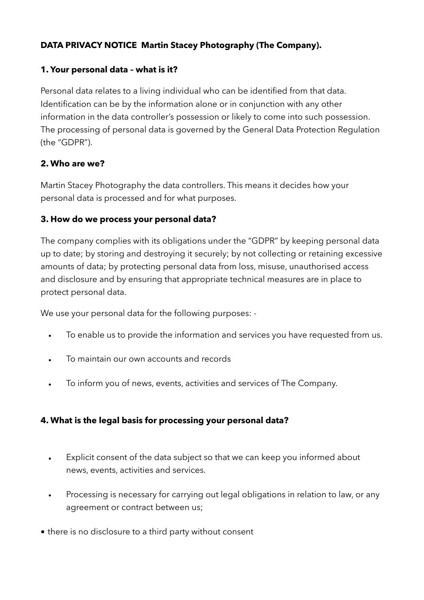# **DATA PRIVACY NOTICE Martin Stacey Photography (The Company).**

#### **1. Your personal data – what is it?**

Personal data relates to a living individual who can be identified from that data. Identification can be by the information alone or in conjunction with any other information in the data controller's possession or likely to come into such possession. The processing of personal data is governed by the General Data Protection Regulation (the "GDPR").

## **2. Who are we?**

Martin Stacey Photography the data controllers. This means it decides how your personal data is processed and for what purposes.

## **3. How do we process your personal data?**

The company complies with its obligations under the "GDPR" by keeping personal data up to date; by storing and destroying it securely; by not collecting or retaining excessive amounts of data; by protecting personal data from loss, misuse, unauthorised access and disclosure and by ensuring that appropriate technical measures are in place to protect personal data.

We use your personal data for the following purposes: -

- To enable us to provide the information and services you have requested from us.
- To maintain our own accounts and records
- To inform you of news, events, activities and services of The Company.

# **4. What is the legal basis for processing your personal data?**

- Explicit consent of the data subject so that we can keep you informed about news, events, activities and services.
- Processing is necessary for carrying out legal obligations in relation to law, or any agreement or contract between us;
- there is no disclosure to a third party without consent